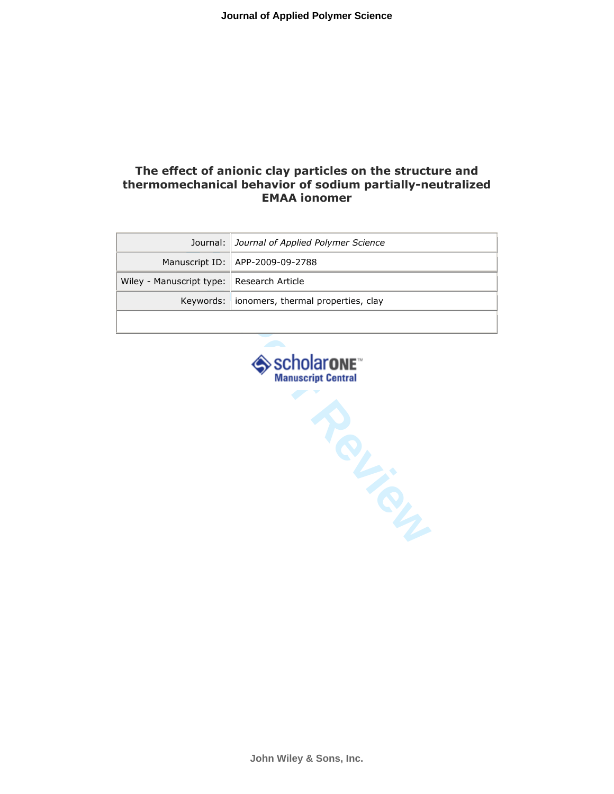# The effect of anionic clay particles on the structure and thermomechanical behavior of sodium partially-neutralized EMAA ionomer

|                                             | Journal:   Journal of Applied Polymer Science  |
|---------------------------------------------|------------------------------------------------|
|                                             | Manuscript ID:   APP-2009-09-2788              |
| Wiley - Manuscript type:   Research Article |                                                |
|                                             | Keywords:   ionomers, thermal properties, clay |
|                                             |                                                |

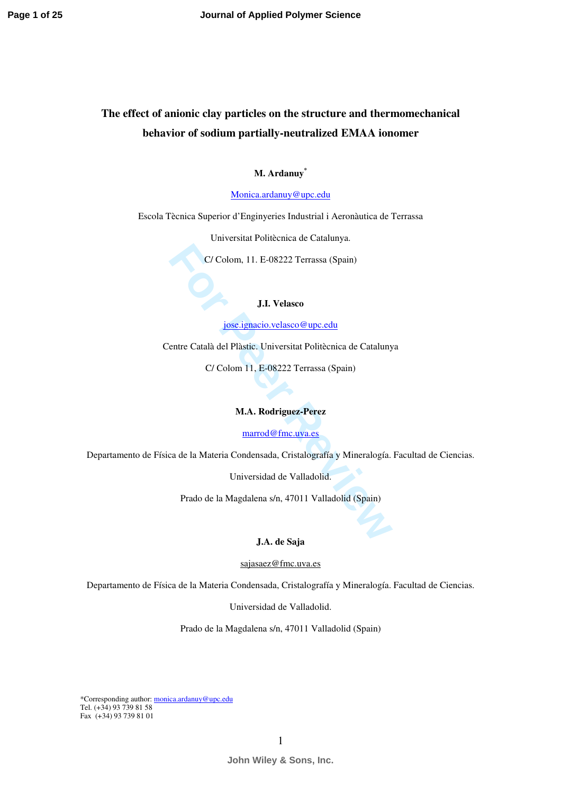# **The effect of anionic clay particles on the structure and thermomechanical behavior of sodium partially-neutralized EMAA ionomer**

**M. Ardanuy\*** 

[Monica.ardanuy@upc.edu](mailto:Monica.ardanuy@upc.edu)

Escola Tècnica Superior d'Enginyeries Industrial i Aeronàutica de Terrassa

Universitat Politècnica de Catalunya.

C/ Colom, 11. E-08222 Terrassa (Spain)

#### **J.I. Velasco**

jose.ignacio.velasco@upc.edu

**For Colom, 11. E-08222 Terrassa (Spain)**<br> **For** *Fore**Boscieracio.velasco@upc.edu***<br>
entre Català del [P](mailto:jose.ignacio.velasco@upc.edu)làstic. Universitat Politècnica de Cataluny<br>
C/ Colom 11, E-08222 Terrassa (Spain)<br>
<b>M.A. Rodriguez-Perez**<br>
<u>marrod@fm</u> Centre Català del Plàstic. Universitat Politècnica de Catalunya

C/ Colom 11, E-08222 Terrassa (Spain)

#### **M.A. Rodriguez-Perez**

### marrod@fmc.uva.es

Departamento de Física de la Materia Condensada, Cristalografía y Mineralogía. Facultad de Ciencias.

Universidad de Valladolid.

Prado de la Magdalena s/n, 47011 Valladolid (Spain)

#### **J.A. de Saja**

### sajasaez[@fmc.uva.es](mailto:marrod@fmc.uva.es)

Departamento de Física de la Materia Condensada, Cristalografía y Mineralogía. Facultad de Ciencias.

Universidad de Valladolid.

Prado de la Magdalena s/n, 47011 Valladolid (Spain)

\*Corresponding author: [monica.ardanuy@upc.edu](mailto:monica.ardanuy@upc.edu) Tel.  $(+34)$  93 739 81 58 Fax (+34) 93 739 81 01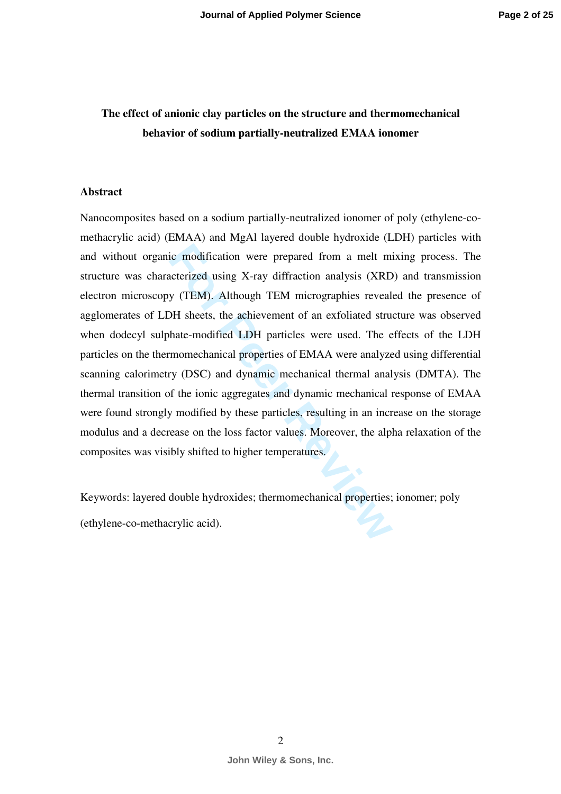# **The effect of anionic clay particles on the structure and thermomechanical behavior of sodium partially-neutralized EMAA ionomer**

## **Abstract**

ic modification were prepared from a melt m<br>acterized using X-ray diffraction analysis (XRD<br>y (TEM). Although TEM micrographies reveal<br>DH sheets, the achievement of an exfoliated stru<br>hate-modified LDH particles were used. Nanocomposites based on a sodium partially-neutralized ionomer of poly (ethylene-comethacrylic acid) (EMAA) and MgAl layered double hydroxide (LDH) particles with and without organic modification were prepared from a melt mixing process. The structure was characterized using X-ray diffraction analysis (XRD) and transmission electron microscopy (TEM). Although TEM micrographies revealed the presence of agglomerates of LDH sheets, the achievement of an exfoliated structure was observed when dodecyl sulphate-modified LDH particles were used. The effects of the LDH particles on the thermomechanical properties of EMAA were analyzed using differential scanning calorimetry (DSC) and dynamic mechanical thermal analysis (DMTA). The thermal transition of the ionic aggregates and dynamic mechanical response of EMAA were found strongly modified by these particles, resulting in an increase on the storage modulus and a decrease on the loss factor values. Moreover, the alpha relaxation of the composites was visibly shifted to higher temperatures.

Keywords: layered double hydroxides; thermomechanical properties; ionomer; poly (ethylene-co-methacrylic acid).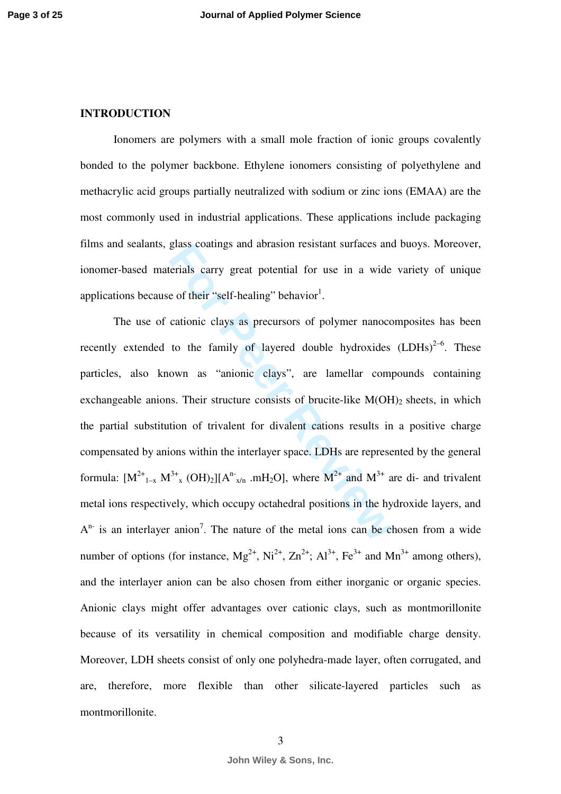## **INTRODUCTION**

Ionomers are polymers with a small mole fraction of ionic groups covalently bonded to the polymer backbone. Ethylene ionomers consisting of polyethylene and methacrylic acid groups partially neutralized with sodium or zinc ions (EMAA) are the most commonly used in industrial applications. These applications include packaging films and sealants, glass coatings and abrasion resistant surfaces and buoys. Moreover, ionomer-based materials carry great potential for use in a wide variety of unique applications because of their "self-healing" behavior<sup>1</sup>.

grass coatings and abrasion resistant surfaces and<br>erials carry great potential for use in a wide<br>e of their "self-healing" behavior<sup>1</sup>.<br>cationic clays as precursors of polymer nanocc<br>to the family of layered double hydro The use of cationic clays as precursors of polymer nanocomposites has been recently extended to the family of layered double hydroxides  $(LDHs)^{2-6}$ . These particles, also known as "anionic clays", are lamellar compounds containing exchangeable anions. Their structure consists of brucite-like  $M(OH)_2$  sheets, in which the partial substitution of trivalent for divalent cations results in a positive charge compensated by anions within the interlayer space. LDHs are represented by the general formula:  $[M^{2+}{}_{1-x} M^{3+}{}_{x} (OH)_2][A^{n}{}_{x/n}$  .mH<sub>2</sub>O], where  $M^{2+}$  and  $M^{3+}$  are di- and trivalent metal ions respectively, which occupy octahedral positions in the hydroxide layers, and  $A^{n}$  is an interlayer anion<sup>7</sup>. The nature of the metal ions can be chosen from a wide number of options (for instance,  $Mg^{2+}$ ,  $Ni^{2+}$ ,  $Zn^{2+}$ ;  $Al^{3+}$ ,  $Fe^{3+}$  and  $Mn^{3+}$  among others), and the interlayer anion can be also chosen from either inorganic or organic species. Anionic clays might offer advantages over cationic clays, such as montmorillonite because of its versatility in chemical composition and modifiable charge density. Moreover, LDH sheets consist of only one polyhedra-made layer, often corrugated, and are, therefore, more flexible than other silicate-layered particles such as montmorillonite.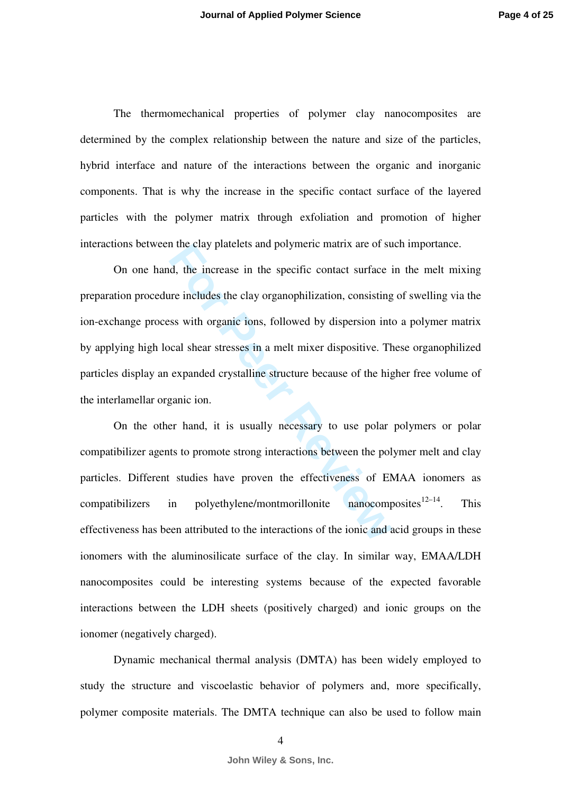The thermomechanical properties of polymer clay nanocomposites are determined by the complex relationship between the nature and size of the particles, hybrid interface and nature of the interactions between the organic and inorganic components. That is why the increase in the specific contact surface of the layered particles with the polymer matrix through exfoliation and promotion of higher interactions between the clay platelets and polymeric matrix are of such importance.

If the increase in the specific contact surface is<br>
d, the increase in the specific contact surface is<br>
the increase in the specific contact surface is<br>
such organic ions, followed by dispersion int<br>
ccal shear stresses in On one hand, the increase in the specific contact surface in the melt mixing preparation procedure includes the clay organophilization, consisting of swelling via the ion-exchange process with organic ions, followed by dispersion into a polymer matrix by applying high local shear stresses in a melt mixer dispositive. These organophilized particles display an expanded crystalline structure because of the higher free volume of the interlamellar organic ion.

On the other hand, it is usually necessary to use polar polymers or polar compatibilizer agents to promote strong interactions between the polymer melt and clay particles. Different studies have proven the effectiveness of EMAA ionomers as compatibilizers in polyethylene/montmorillonite nanocomposites $12-14$ . This effectiveness has been attributed to the interactions of the ionic and acid groups in these ionomers with the aluminosilicate surface of the clay. In similar way, EMAA/LDH nanocomposites could be interesting systems because of the expected favorable interactions between the LDH sheets (positively charged) and ionic groups on the ionomer (negatively charged).

Dynamic mechanical thermal analysis (DMTA) has been widely employed to study the structure and viscoelastic behavior of polymers and, more specifically, polymer composite materials. The DMTA technique can also be used to follow main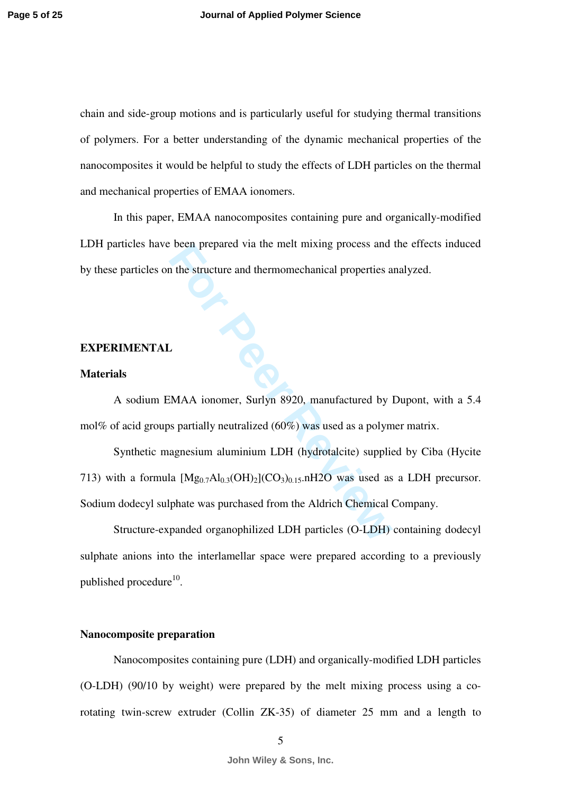chain and side-group motions and is particularly useful for studying thermal transitions of polymers. For a better understanding of the dynamic mechanical properties of the nanocomposites it would be helpful to study the effects of LDH particles on the thermal and mechanical properties of EMAA ionomers.

In this paper, EMAA nanocomposites containing pure and organically-modified LDH particles have been prepared via the melt mixing process and the effects induced by these particles on the structure and thermomechanical properties analyzed.

## **EXPERIMENTAL**

### **Materials**

A sodium EMAA ionomer, Surlyn 8920, manufactured by Dupont, with a 5.4 mol% of acid groups partially neutralized (60%) was used as a polymer matrix.

For Prepared Via the meth mixing process and<br>the structure and thermomechanical properties a<br>discussion of the structure and thermomechanical properties a<br> $\text{EMAA}$  ionomer, Surlyn 8920, manufactured by<br>spartially neutraliz Synthetic magnesium aluminium LDH (hydrotalcite) supplied by Ciba (Hycite 713) with a formula  $[Mg_{0.7}Al_{0.3}(OH)_2](CO_3)_{0.15}$ .nH2O was used as a LDH precursor. Sodium dodecyl sulphate was purchased from the Aldrich Chemical Company.

Structure-expanded organophilized LDH particles (O-LDH) containing dodecyl sulphate anions into the interlamellar space were prepared according to a previously published procedure $^{10}$ .

## **Nanocomposite preparation**

Nanocomposites containing pure (LDH) and organically-modified LDH particles (O-LDH) (90/10 by weight) were prepared by the melt mixing process using a corotating twin-screw extruder (Collin ZK-35) of diameter 25 mm and a length to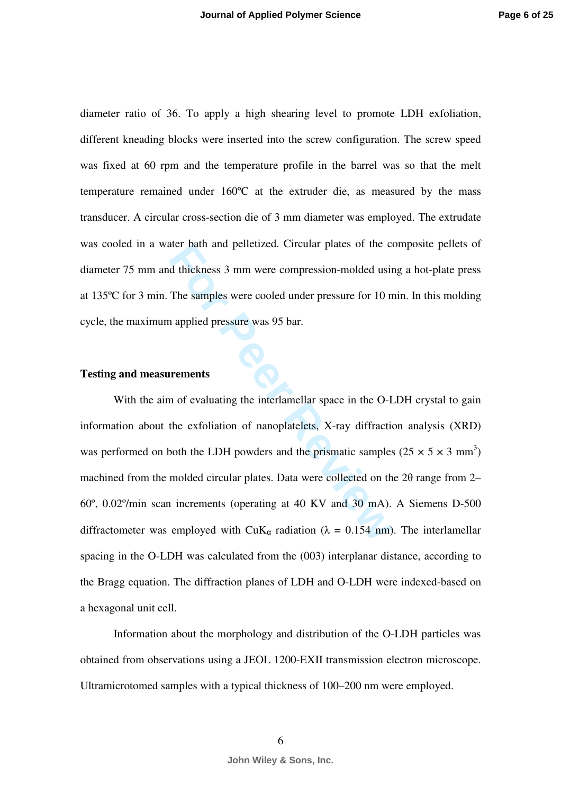diameter ratio of 36. To apply a high shearing level to promote LDH exfoliation, different kneading blocks were inserted into the screw configuration. The screw speed was fixed at 60 rpm and the temperature profile in the barrel was so that the melt temperature remained under 160ºC at the extruder die, as measured by the mass transducer. A circular cross-section die of 3 mm diameter was employed. The extrudate was cooled in a water bath and pelletized. Circular plates of the composite pellets of diameter 75 mm and thickness 3 mm were compression-molded using a hot-plate press at 135ºC for 3 min. The samples were cooled under pressure for 10 min. In this molding cycle, the maximum applied pressure was 95 bar.

### **Testing and measurements**

ther bain and petitived. Circular plates of the c<br>d thickness 3 mm were compression-molded usin<br>The samples were cooled under pressure for 10 n<br>applied pressure was 95 bar.<br>**For Peer Reviewald Set Allen Circular** space in With the aim of evaluating the interlamellar space in the O-LDH crystal to gain information about the exfoliation of nanoplatelets, X-ray diffraction analysis (XRD) was performed on both the LDH powders and the prismatic samples  $(25 \times 5 \times 3 \text{ mm}^3)$ machined from the molded circular plates. Data were collected on the 2θ range from 2– 60º, 0.02º/min scan increments (operating at 40 KV and 30 mA). A Siemens D-500 diffractometer was employed with CuK<sub>a</sub> radiation ( $\lambda = 0.154$  nm). The interlamellar spacing in the O-LDH was calculated from the (003) interplanar distance, according to the Bragg equation. The diffraction planes of LDH and O-LDH were indexed-based on a hexagonal unit cell.

Information about the morphology and distribution of the O-LDH particles was obtained from observations using a JEOL 1200-EXII transmission electron microscope. Ultramicrotomed samples with a typical thickness of 100–200 nm were employed.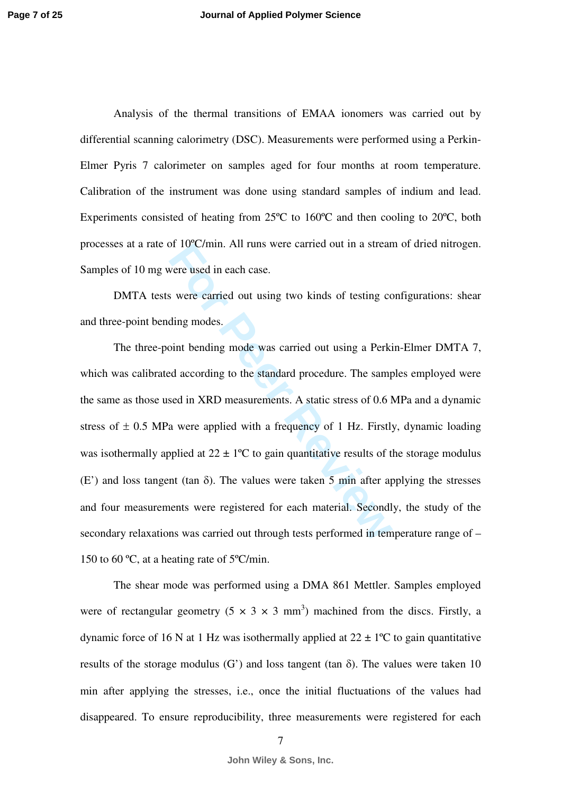Analysis of the thermal transitions of EMAA ionomers was carried out by differential scanning calorimetry (DSC). Measurements were performed using a Perkin-Elmer Pyris 7 calorimeter on samples aged for four months at room temperature. Calibration of the instrument was done using standard samples of indium and lead. Experiments consisted of heating from 25ºC to 160ºC and then cooling to 20ºC, both processes at a rate of 10ºC/min. All runs were carried out in a stream of dried nitrogen. Samples of 10 mg were used in each case.

DMTA tests were carried out using two kinds of testing configurations: shear and three-point bending modes.

For 10 C/mm. All runs were carried out in a streament were used in each case.<br> **For Peer Reviewal Set All runs is the control of the control of the standard procedure. The sampled according to the standard procedure. The** The three-point bending mode was carried out using a Perkin-Elmer DMTA 7, which was calibrated according to the standard procedure. The samples employed were the same as those used in XRD measurements. A static stress of 0.6 MPa and a dynamic stress of  $\pm$  0.5 MPa were applied with a frequency of 1 Hz. Firstly, dynamic loading was isothermally applied at  $22 \pm 1$ °C to gain quantitative results of the storage modulus  $(E')$  and loss tangent (tan  $\delta$ ). The values were taken 5 min after applying the stresses and four measurements were registered for each material. Secondly, the study of the secondary relaxations was carried out through tests performed in temperature range of – 150 to 60 ºC, at a heating rate of 5ºC/min.

The shear mode was performed using a DMA 861 Mettler. Samples employed were of rectangular geometry  $(5 \times 3 \times 3 \text{ mm}^3)$  machined from the discs. Firstly, a dynamic force of 16 N at 1 Hz was isothermally applied at  $22 \pm 1$ °C to gain quantitative results of the storage modulus (G') and loss tangent (tan  $\delta$ ). The values were taken 10 min after applying the stresses, i.e., once the initial fluctuations of the values had disappeared. To ensure reproducibility, three measurements were registered for each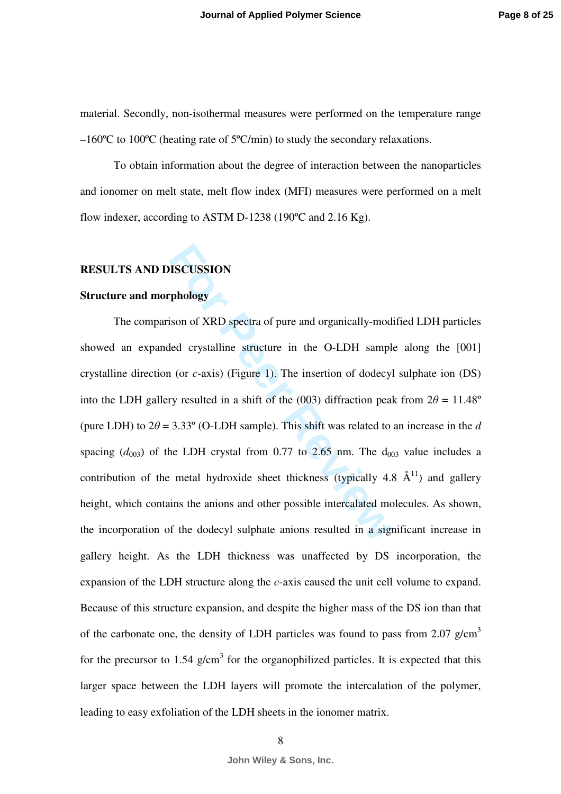material. Secondly, non-isothermal measures were performed on the temperature range –160ºC to 100ºC (heating rate of 5ºC/min) to study the secondary relaxations.

To obtain information about the degree of interaction between the nanoparticles and ionomer on melt state, melt flow index (MFI) measures were performed on a melt flow indexer, according to ASTM D-1238 (190°C and 2.16 Kg).

## **RESULTS AND DISCUSSION**

## **Structure and morphology**

**FISCUSSION**<br> **Follogy**<br> **Follogy**<br> **Follogy**<br> **Follogy**<br> **Follogy**<br> **Follogy**<br> **Follogy**<br> **Follogy**<br> **Follogy**<br> **Follogy**<br> **Follogy**<br> **Follogy**<br> **Follogy**<br> **Follogy**<br> **Follogy**<br> **Follogy**<br> **Follogy**<br> **Follogy**<br> **Follogy** The comparison of XRD spectra of pure and organically-modified LDH particles showed an expanded crystalline structure in the O-LDH sample along the [001] crystalline direction (or *c*-axis) (Figure 1). The insertion of dodecyl sulphate ion (DS) into the LDH gallery resulted in a shift of the (003) diffraction peak from  $2\theta = 11.48^\circ$ (pure LDH) to  $2\theta = 3.33^{\circ}$  (O-LDH sample). This shift was related to an increase in the d spacing  $(d_{003})$  of the LDH crystal from 0.77 to 2.65 nm. The  $d_{003}$  value includes a contribution of the metal hydroxide sheet thickness (typically 4.8  $\AA$ <sup>11</sup>) and gallery height, which contains the anions and other possible intercalated molecules. As shown, the incorporation of the dodecyl sulphate anions resulted in a significant increase in gallery height. As the LDH thickness was unaffected by DS incorporation, the expansion of the LDH structure along the *c*-axis caused the unit cell volume to expand. Because of this structure expansion, and despite the higher mass of the DS ion than that of the carbonate one, the density of LDH particles was found to pass from 2.07 g/cm<sup>3</sup> for the precursor to 1.54  $g/cm<sup>3</sup>$  for the organophilized particles. It is expected that this larger space between the LDH layers will promote the intercalation of the polymer, leading to easy exfoliation of the LDH sheets in the ionomer matrix.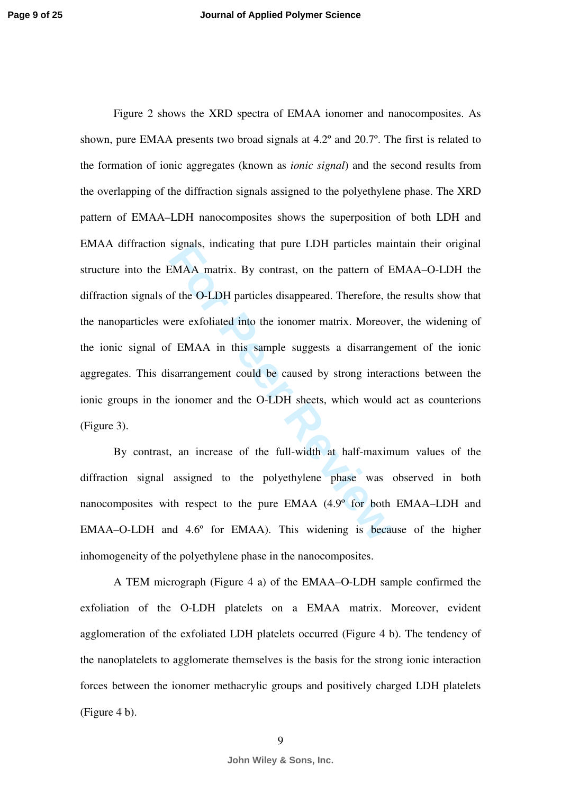EMAA matrix. By contrast, on the pattern of EMAA matrix. By contrast, on the pattern of E<br>of the O-LDH particles disappeared. Therefore, there exfoliated into the ionomer matrix. Moreover<br>f EMAA in this sample suggests a d Figure 2 shows the XRD spectra of EMAA ionomer and nanocomposites. As shown, pure EMAA presents two broad signals at 4.2º and 20.7º. The first is related to the formation of ionic aggregates (known as *ionic signal*) and the second results from the overlapping of the diffraction signals assigned to the polyethylene phase. The XRD pattern of EMAA–LDH nanocomposites shows the superposition of both LDH and EMAA diffraction signals, indicating that pure LDH particles maintain their original structure into the EMAA matrix. By contrast, on the pattern of EMAA–O-LDH the diffraction signals of the O-LDH particles disappeared. Therefore, the results show that the nanoparticles were exfoliated into the ionomer matrix. Moreover, the widening of the ionic signal of EMAA in this sample suggests a disarrangement of the ionic aggregates. This disarrangement could be caused by strong interactions between the ionic groups in the ionomer and the O-LDH sheets, which would act as counterions (Figure 3).

By contrast, an increase of the full-width at half-maximum values of the diffraction signal assigned to the polyethylene phase was observed in both nanocomposites with respect to the pure EMAA (4.9º for both EMAA–LDH and EMAA–O-LDH and 4.6º for EMAA). This widening is because of the higher inhomogeneity of the polyethylene phase in the nanocomposites.

A TEM micrograph (Figure 4 a) of the EMAA–O-LDH sample confirmed the exfoliation of the O-LDH platelets on a EMAA matrix. Moreover, evident agglomeration of the exfoliated LDH platelets occurred (Figure 4 b). The tendency of the nanoplatelets to agglomerate themselves is the basis for the strong ionic interaction forces between the ionomer methacrylic groups and positively charged LDH platelets (Figure 4 b).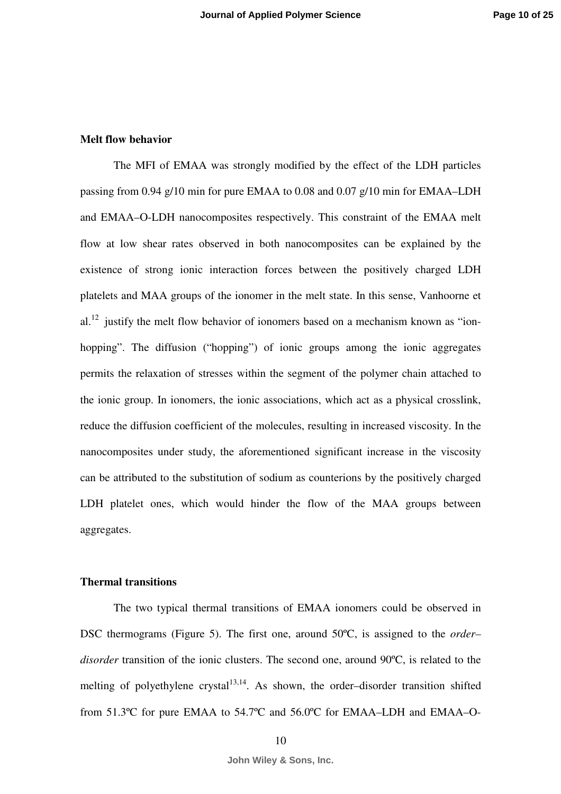## **Melt flow behavior**

rates observed in both nanocomposites can be<br>g ionic interaction forces between the positiv<br>groups of the ionomer in the melt state. In this s<br>lt flow behavior of ionomers based on a mechani<br>fusion ("hopping") of ionic gro The MFI of EMAA was strongly modified by the effect of the LDH particles passing from 0.94 g/10 min for pure EMAA to 0.08 and 0.07 g/10 min for EMAA–LDH and EMAA–O-LDH nanocomposites respectively. This constraint of the EMAA melt flow at low shear rates observed in both nanocomposites can be explained by the existence of strong ionic interaction forces between the positively charged LDH platelets and MAA groups of the ionomer in the melt state. In this sense, Vanhoorne et al.<sup>12</sup> justify the melt flow behavior of ionomers based on a mechanism known as "ionhopping". The diffusion ("hopping") of ionic groups among the ionic aggregates permits the relaxation of stresses within the segment of the polymer chain attached to the ionic group. In ionomers, the ionic associations, which act as a physical crosslink, reduce the diffusion coefficient of the molecules, resulting in increased viscosity. In the nanocomposites under study, the aforementioned significant increase in the viscosity can be attributed to the substitution of sodium as counterions by the positively charged LDH platelet ones, which would hinder the flow of the MAA groups between aggregates.

### **Thermal transitions**

The two typical thermal transitions of EMAA ionomers could be observed in DSC thermograms (Figure 5). The first one, around 50ºC, is assigned to the *order– disorder* transition of the ionic clusters. The second one, around 90ºC, is related to the melting of polyethylene crystal<sup>13,14</sup>. As shown, the order-disorder transition shifted from 51.3ºC for pure EMAA to 54.7ºC and 56.0ºC for EMAA–LDH and EMAA–O-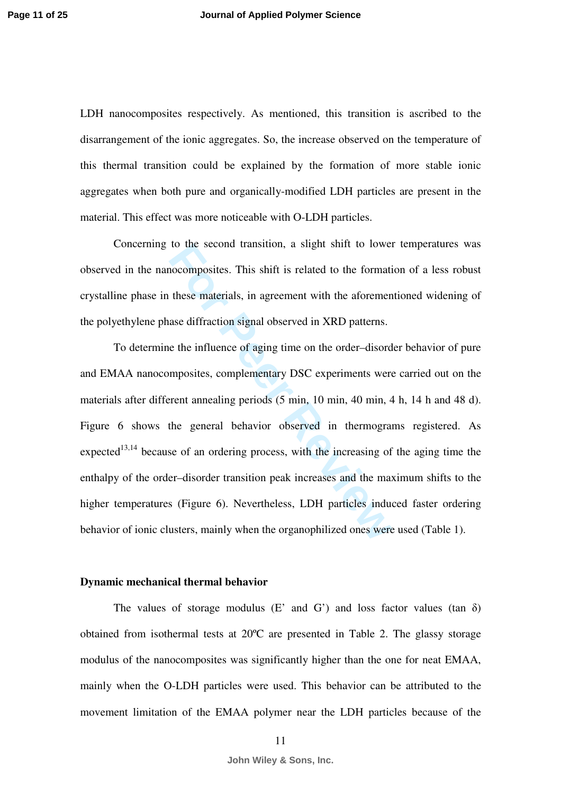LDH nanocomposites respectively. As mentioned, this transition is ascribed to the disarrangement of the ionic aggregates. So, the increase observed on the temperature of this thermal transition could be explained by the formation of more stable ionic aggregates when both pure and organically-modified LDH particles are present in the material. This effect was more noticeable with O-LDH particles.

Concerning to the second transition, a slight shift to lower temperatures was observed in the nanocomposites. This shift is related to the formation of a less robust crystalline phase in these materials, in agreement with the aforementioned widening of the polyethylene phase diffraction signal observed in XRD patterns.

to the second transition, a singnt smit to lower<br>nocomposites. This shift is related to the formati<br>these materials, in agreement with the aforemen<br>ase diffraction signal observed in XRD patterns.<br>e the influence of aging To determine the influence of aging time on the order–disorder behavior of pure and EMAA nanocomposites, complementary DSC experiments were carried out on the materials after different annealing periods (5 min, 10 min, 40 min, 4 h, 14 h and 48 d). Figure 6 shows the general behavior observed in thermograms registered. As expected<sup>13,14</sup> because of an ordering process, with the increasing of the aging time the enthalpy of the order–disorder transition peak increases and the maximum shifts to the higher temperatures (Figure 6). Nevertheless, LDH particles induced faster ordering behavior of ionic clusters, mainly when the organophilized ones were used (Table 1).

### **Dynamic mechanical thermal behavior**

The values of storage modulus  $(E'$  and  $G'$ ) and loss factor values (tan  $\delta$ ) obtained from isothermal tests at 20ºC are presented in Table 2. The glassy storage modulus of the nanocomposites was significantly higher than the one for neat EMAA, mainly when the O-LDH particles were used. This behavior can be attributed to the movement limitation of the EMAA polymer near the LDH particles because of the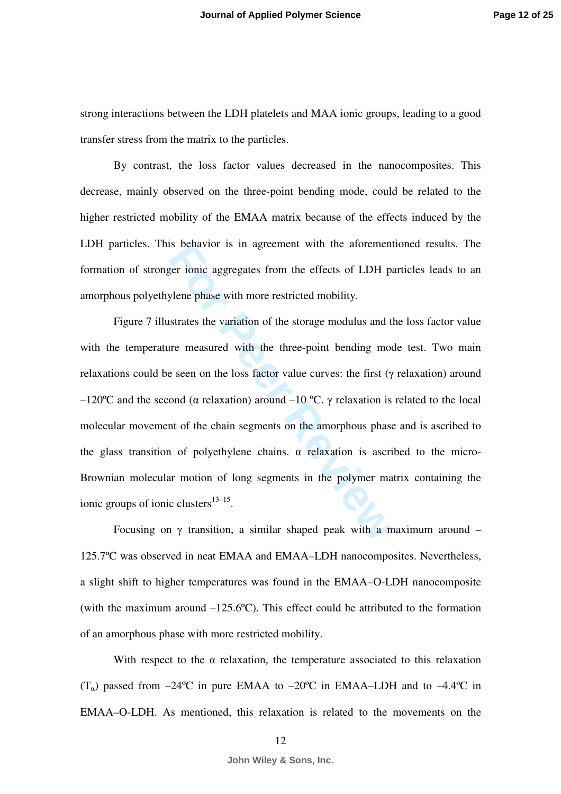strong interactions between the LDH platelets and MAA ionic groups, leading to a good transfer stress from the matrix to the particles.

By contrast, the loss factor values decreased in the nanocomposites. This decrease, mainly observed on the three-point bending mode, could be related to the higher restricted mobility of the EMAA matrix because of the effects induced by the LDH particles. This behavior is in agreement with the aforementioned results. The formation of stronger ionic aggregates from the effects of LDH particles leads to an amorphous polyethylene phase with more restricted mobility.

For ionic aggregates from the effects of LDH p<br>
ylene phase with more restricted mobility.<br>
strates the variation of the storage modulus and t<br>
tre measured with the three-point bending mod<br>
e seen on the loss factor val Figure 7 illustrates the variation of the storage modulus and the loss factor value with the temperature measured with the three-point bending mode test. Two main relaxations could be seen on the loss factor value curves: the first ( γ relaxation) around –120°C and the second (α relaxation) around –10 °C.  $\gamma$  relaxation is related to the local molecular movement of the chain segments on the amorphous phase and is ascribed to the glass transition of polyethylene chains.  $\alpha$  relaxation is ascribed to the micro-Brownian molecular motion of long segments in the polymer matrix containing the ionic groups of ionic clusters $13-15$ .

Focusing on  $\gamma$  transition, a similar shaped peak with a maximum around  $-$ 125.7ºC was observed in neat EMAA and EMAA–LDH nanocomposites. Nevertheless, a slight shift to higher temperatures was found in the EMAA–O-LDH nanocomposite (with the maximum around –125.6ºC). This effect could be attributed to the formation of an amorphous phase with more restricted mobility.

With respect to the  $\alpha$  relaxation, the temperature associated to this relaxation  $(T_{\alpha})$  passed from  $-24^{\circ}\text{C}$  in pure EMAA to  $-20^{\circ}\text{C}$  in EMAA–LDH and to  $-4.4^{\circ}\text{C}$  in EMAA–O-LDH. As mentioned, this relaxation is related to the movements on the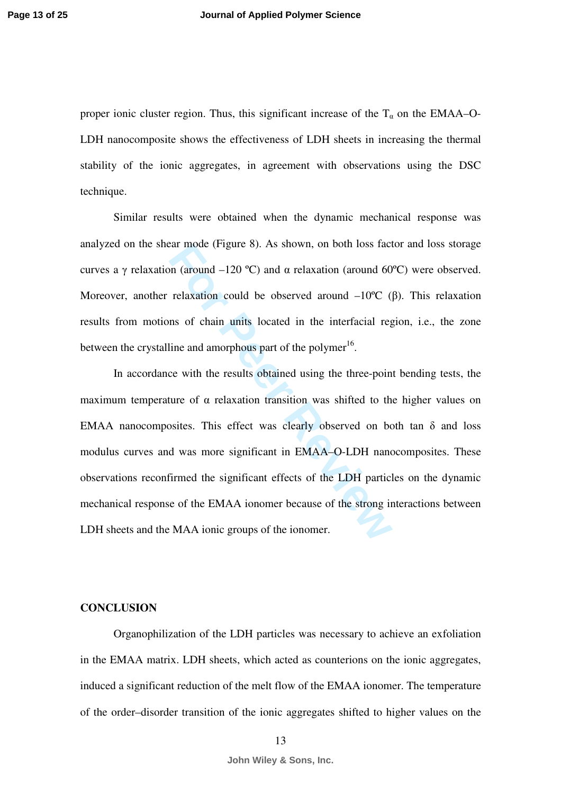proper ionic cluster region. Thus, this significant increase of the  $T_{\alpha}$  on the EMAA–O-LDH nanocomposite shows the effectiveness of LDH sheets in increasing the thermal stability of the ionic aggregates, in agreement with observations using the DSC technique.

Similar results were obtained when the dynamic mechanical response was analyzed on the shear mode (Figure 8). As shown, on both loss factor and loss storage curves a γ relaxation (around -120 °C) and  $\alpha$  relaxation (around 60°C) were observed. Moreover, another relaxation could be observed around  $-10^{\circ}\text{C}$  ( $\beta$ ). This relaxation results from motions of chain units located in the interfacial region, i.e., the zone between the crystalline and amorphous part of the polymer<sup>16</sup>.

Ear mode (rigure 8). As snown, on both loss fact<br>on (around -120 °C) and  $\alpha$  relaxation (around 60<br>relaxation could be observed around -10°C (<br>ns of chain units located in the interfacial reg<br>line and amorphous part of t In accordance with the results obtained using the three-point bending tests, the maximum temperature of α relaxation transition was shifted to the higher values on EMAA nanocomposites. This effect was clearly observed on both tan  $\delta$  and loss modulus curves and was more significant in EMAA–O-LDH nanocomposites. These observations reconfirmed the significant effects of the LDH particles on the dynamic mechanical response of the EMAA ionomer because of the strong interactions between LDH sheets and the MAA ionic groups of the ionomer.

## **CONCLUSION**

Organophilization of the LDH particles was necessary to achieve an exfoliation in the EMAA matrix. LDH sheets, which acted as counterions on the ionic aggregates, induced a significant reduction of the melt flow of the EMAA ionomer. The temperature of the order–disorder transition of the ionic aggregates shifted to higher values on the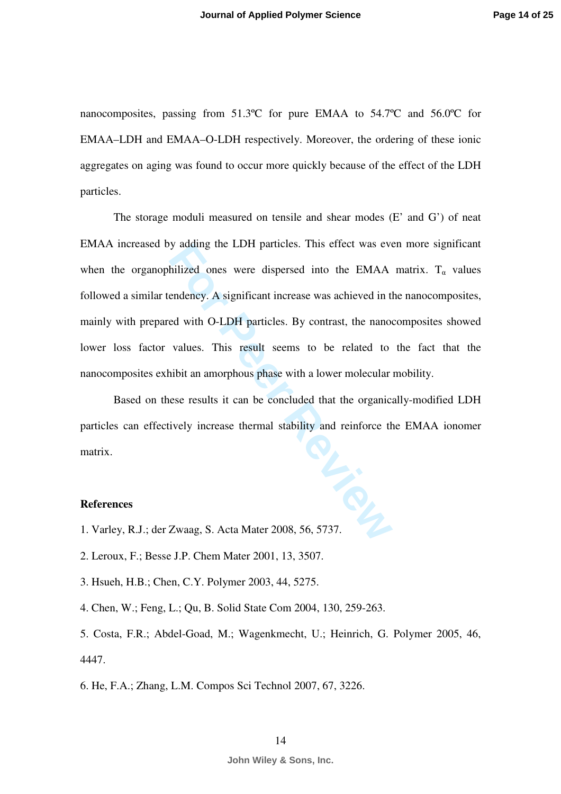nanocomposites, passing from 51.3ºC for pure EMAA to 54.7ºC and 56.0ºC for EMAA–LDH and EMAA–O-LDH respectively. Moreover, the ordering of these ionic aggregates on aging was found to occur more quickly because of the effect of the LDH particles.

bilized ones were dispersed into the EMAA<br>
Folized ones were dispersed into the EMAA<br>
For PHAA<br>
For Peer Reviewal and Contrast, the nanot<br>
values. This result seems to be related to<br>
nibit an amorphous phase with a lower m The storage moduli measured on tensile and shear modes (E' and G') of neat EMAA increased by adding the LDH particles. This effect was even more significant when the organophilized ones were dispersed into the EMAA matrix.  $T_{\alpha}$  values followed a similar tendency. A significant increase was achieved in the nanocomposites, mainly with prepared with O-LDH particles. By contrast, the nanocomposites showed lower loss factor values. This result seems to be related to the fact that the nanocomposites exhibit an amorphous phase with a lower molecular mobility.

Based on these results it can be concluded that the organically-modified LDH particles can effectively increase thermal stability and reinforce the EMAA ionomer matrix. matrix.<br> **References**<br>
1. Varley, R.J.; der Zwaag, S. Acta Mater 2008, 56, 5737.

## **References**

- 
- 2. Leroux, F.; Besse J.P. Chem Mater 2001, 13, 3507.
- 3. Hsueh, H.B.; Chen, C.Y. Polymer 2003, 44, 5275.
- 4. Chen, W.; Feng, L.; Qu, B. Solid State Com 2004, 130, 259-263.
- 5. Costa, F.R.; Abdel-Goad, M.; Wagenkmecht, U.; Heinrich, G. Polymer 2005, 46, 4447.
- 6. He, F.A.; Zhang, L.M. Compos Sci Technol 2007, 67, 3226.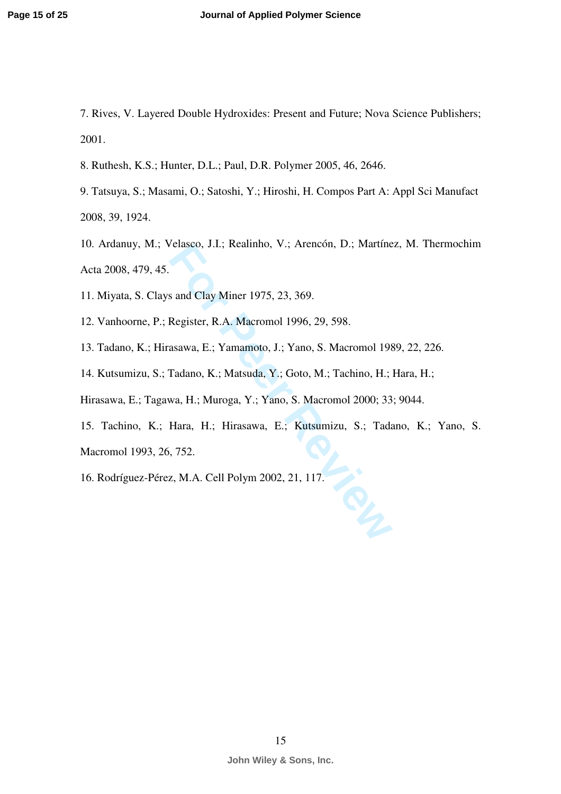- 7. Rives, V. Layered Double Hydroxides: Present and Future; Nova Science Publishers; 2001.
- 8. Ruthesh, K.S.; Hunter, D.L.; Paul, D.R. Polymer 2005, 46, 2646.
- 9. Tatsuya, S.; Masami, O.; Satoshi, Y.; Hiroshi, H. Compos Part A: Appl Sci Manufact 2008, 39, 1924.
- Franco, J.I.; Realinno, V.; Arencon, D.; Martine<br> **For Peer Reviews**<br> **For Peer R.A. Macromol 1996, 29, 598.**<br> **Register, R.A. Macromol 1996, 29, 598.**<br> **Fadano, K.; Matsuda, Y.; Goto, M.; Tachino, H.;**<br> **Fadano, K.; Matsu** 10. Ardanuy, M.; Velasco, J.I.; Realinho, V.; Arencón, D.; Martínez, M. Thermochim Acta 2008, 479, 45.
- 11. Miyata, S. Clays and Clay Miner 1975, 23, 369.
- 12. Vanhoorne, P.; Register, R.A. Macromol 1996, 29, 598.
- 13. Tadano, K.; Hirasawa, E.; Yamamoto, J.; Yano, S. Macromol 1989, 22, 226.
- 14. Kutsumizu, S.; Tadano, K.; Matsuda, Y.; Goto, M.; Tachino, H.; Hara, H.;
- Hirasawa, E.; Tagawa, H.; Muroga, Y.; Yano, S. Macromol 2000; 33; 9044.
- 15. Tachino, K.; Hara, H.; Hirasawa, E.; Kutsumizu, S.; Tadano, K.; Yano, S.
- Macromol 1993, 26, 752.
- 16. Rodríguez-Pérez, M.A. Cell Polym 2002, 21, 117.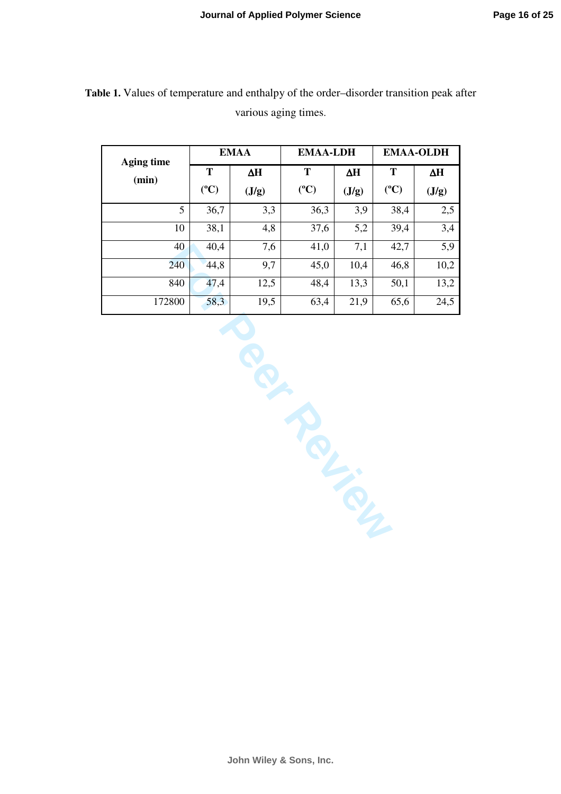| <b>Aging time</b> | <b>EMAA</b>     |            | <b>EMAA-LDH</b> |            | <b>EMAA-OLDH</b> |       |
|-------------------|-----------------|------------|-----------------|------------|------------------|-------|
| (min)             | T               | $\Delta H$ | T               | $\Delta H$ | T                | ΔH    |
|                   | $({}^{\circ}C)$ | (J/g)      | $(^{\circ}C)$   | (J/g)      | $(^{\circ}C)$    | (J/g) |
| 5                 | 36,7            | 3,3        | 36,3            | 3,9        | 38,4             | 2,5   |
| 10                | 38,1            | 4,8        | 37,6            | 5,2        | 39,4             | 3,4   |
| 40                | 40,4            | 7,6        | 41,0            | 7,1        | 42,7             | 5,9   |
| 240               | 44,8            | 9,7        | 45,0            | 10,4       | 46,8             | 10,2  |
| 840               | 47,4            | 12,5       | 48,4            | 13,3       | 50,1             | 13,2  |
| 172800            | 58,3            | 19,5       | 63,4            | 21,9       | 65,6             | 24,5  |

**Table 1.** Values of temperature and enthalpy of the order–disorder transition peak after various aging times.

40 40,4 7,6 41,0 7,1 42,7 5,9<br>
240 44,8 9,7 45,0 10,4 46,8 10,2<br>
840 47,4 12,5 48,4 13,3 50,1 13,2<br>
800 58,3 19,5 63,4 21,9 65,6 24,5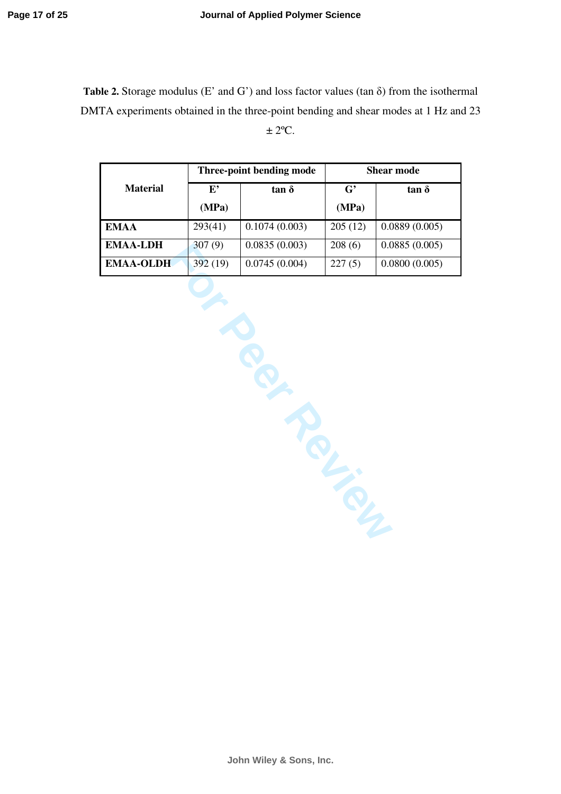**Table 2.** Storage modulus (E' and G') and loss factor values (tan δ) from the isothermal DMTA experiments obtained in the three-point bending and shear modes at 1 Hz and 23  $\pm 2$ <sup>o</sup>C.

|                  |         | Three-point bending mode | <b>Shear mode</b>     |               |  |
|------------------|---------|--------------------------|-----------------------|---------------|--|
| <b>Material</b>  | E,      | $tan \delta$             | $\mathbf{G}^{\prime}$ | $tan \delta$  |  |
|                  | (MPa)   |                          | (MPa)                 |               |  |
| <b>EMAA</b>      | 293(41) | 0.1074(0.003)            | 205(12)               | 0.0889(0.005) |  |
| <b>EMAA-LDH</b>  | 307(9)  | 0.0835(0.003)            | 208(6)                | 0.0885(0.005) |  |
| <b>EMAA-OLDH</b> | 392(19) | 0.0745(0.004)            | 227(5)                | 0.0800(0.005) |  |

 $\frac{307(9)}{1}$   $\frac{0.0835(0.003)}{0.0745(0.004)}$   $\frac{208(6)}{227(5)}$  0.0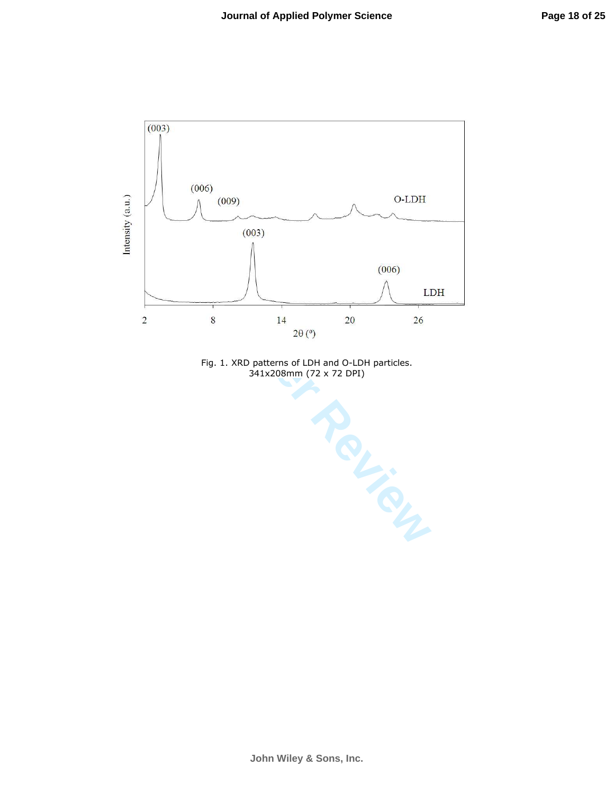

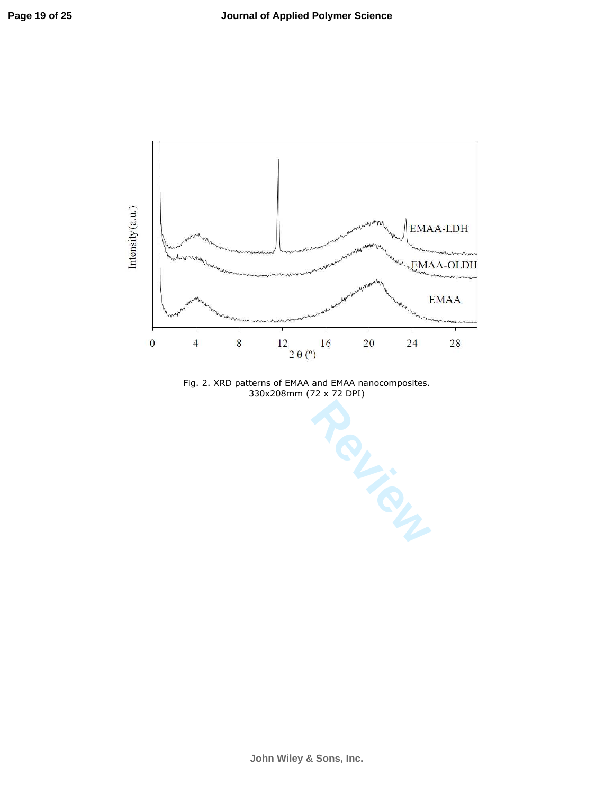

Fig. 2. XRD patterns of EMAA and EMAA nanocomposites. 330x208mm (72 x 72 DPI)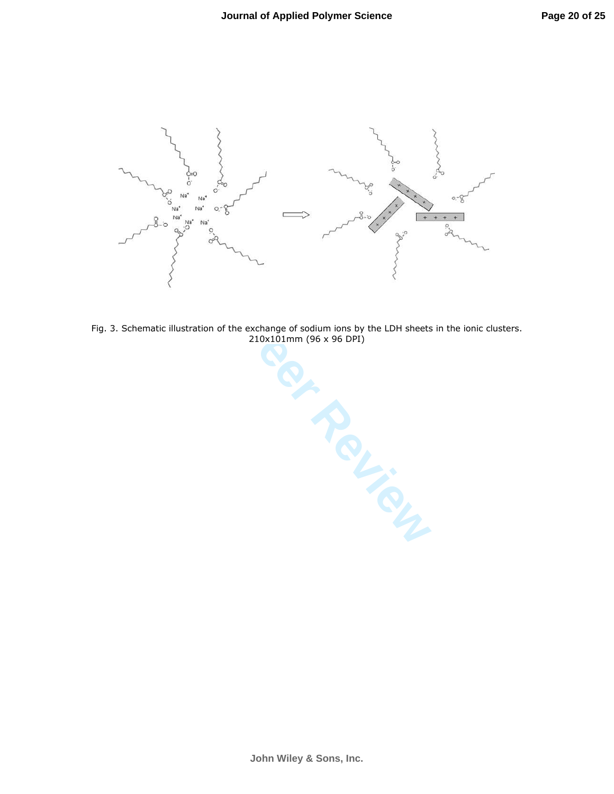

Fig. 3. Schematic illustration of the exchange of sodium ions by the LDH sheets in the ionic clusters. 210x101mm (96 x 96 DPI)

**John Wiley & Sons, Inc.**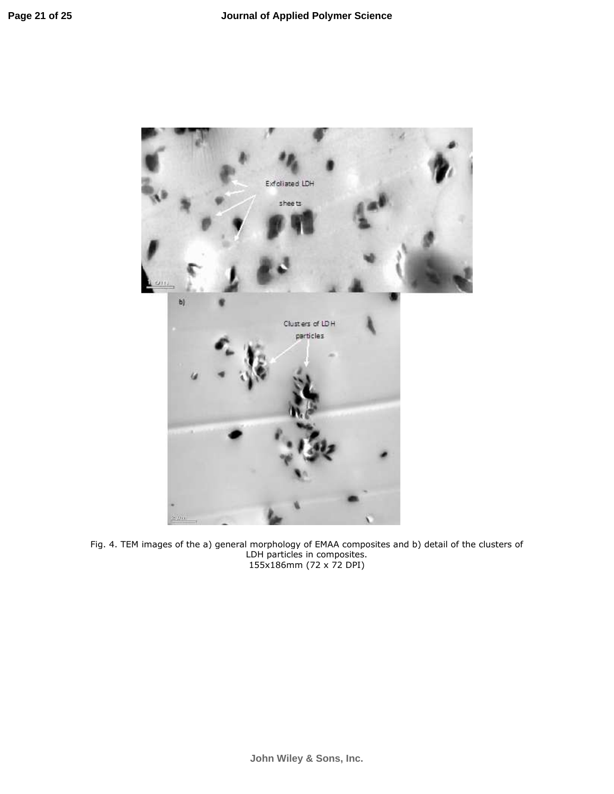

Fig. 4. TEM images of the a) general morphology of EMAA composites and b) detail of the clusters of LDH particles in composites. 155x186mm (72 x 72 DPI)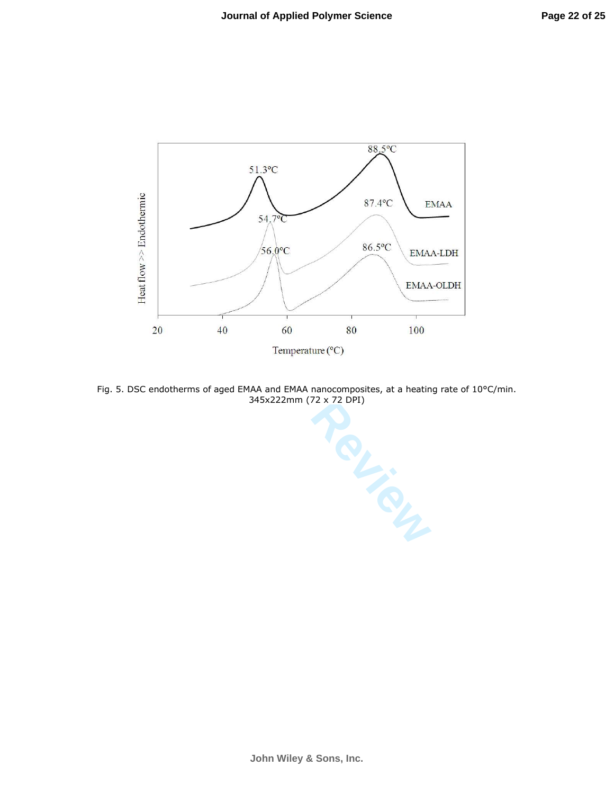

Fig. 5. DSC endotherms of aged EMAA and EMAA nanocomposites, at a heating rate of 10°C/min. 345x222mm (72 x 72 DPI)

**John Wiley & Sons, Inc.**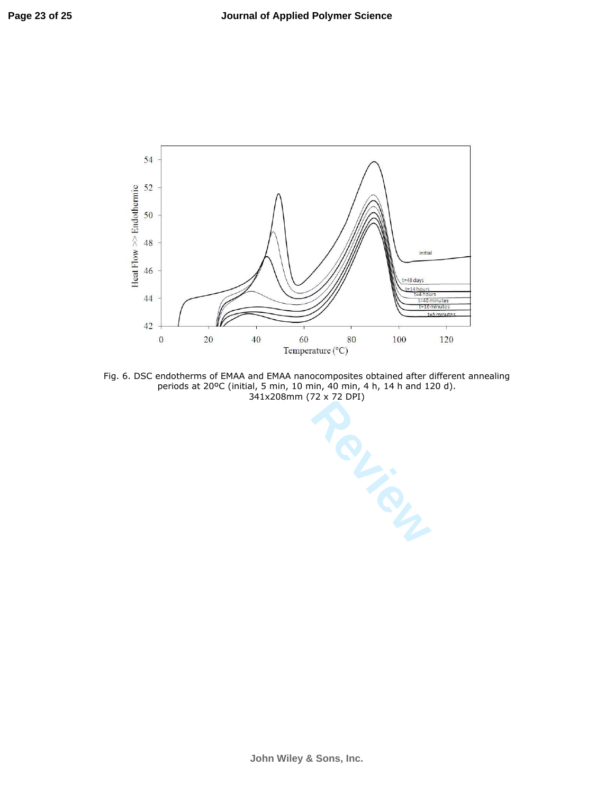

Fig. 6. DSC endotherms of EMAA and EMAA nanocomposites obtained after different annealing periods at 20ºC (initial, 5 min, 10 min, 40 min, 4 h, 14 h and 120 d). 341x208mm (72 x 72 DPI)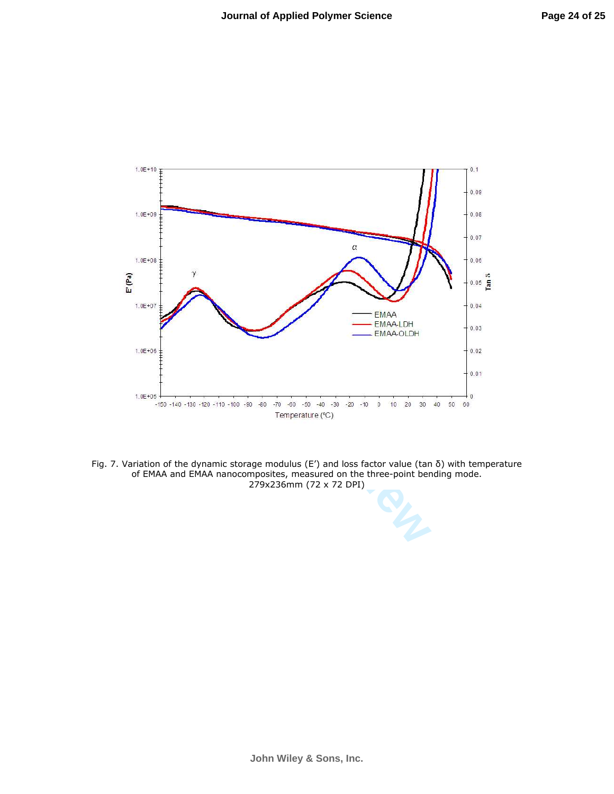

Fig. 7. Variation of the dynamic storage modulus (E') and loss factor value (tan δ) with temperature of EMAA and EMAA nanocomposites, measured on the three-point bending mode. 279x236mm (72 x 72 DPI)